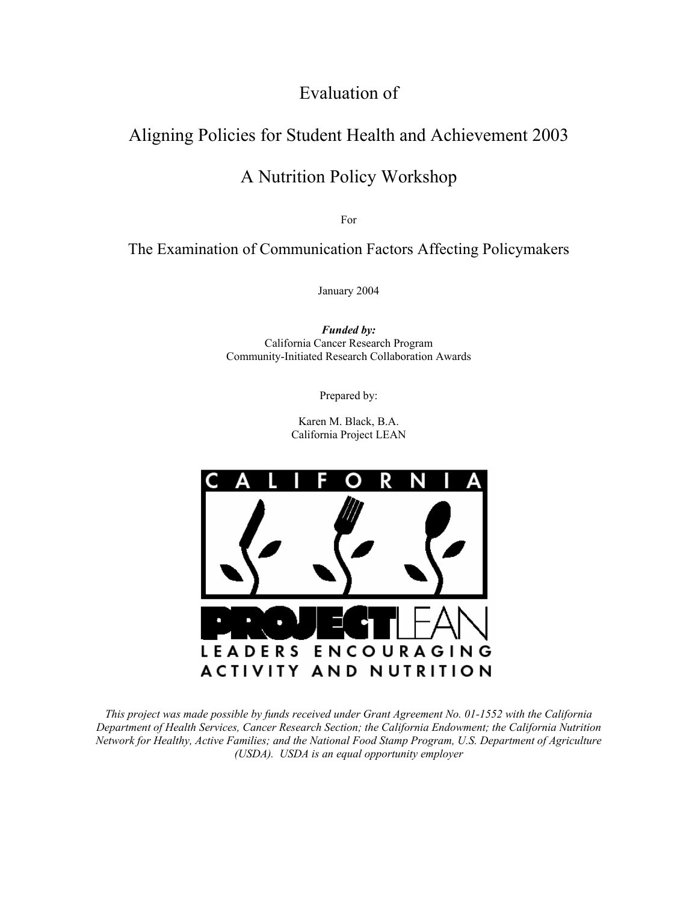# Evaluation of

# Aligning Policies for Student Health and Achievement 2003

# A Nutrition Policy Workshop

For

The Examination of Communication Factors Affecting Policymakers

January 2004

*Funded by:*  California Cancer Research Program Community-Initiated Research Collaboration Awards

Prepared by:

Karen M. Black, B.A. California Project LEAN



*This project was made possible by funds received under Grant Agreement No. 01-1552 with the California Department of Health Services, Cancer Research Section; the California Endowment; the California Nutrition Network for Healthy, Active Families; and the National Food Stamp Program, U.S. Department of Agriculture (USDA). USDA is an equal opportunity employer*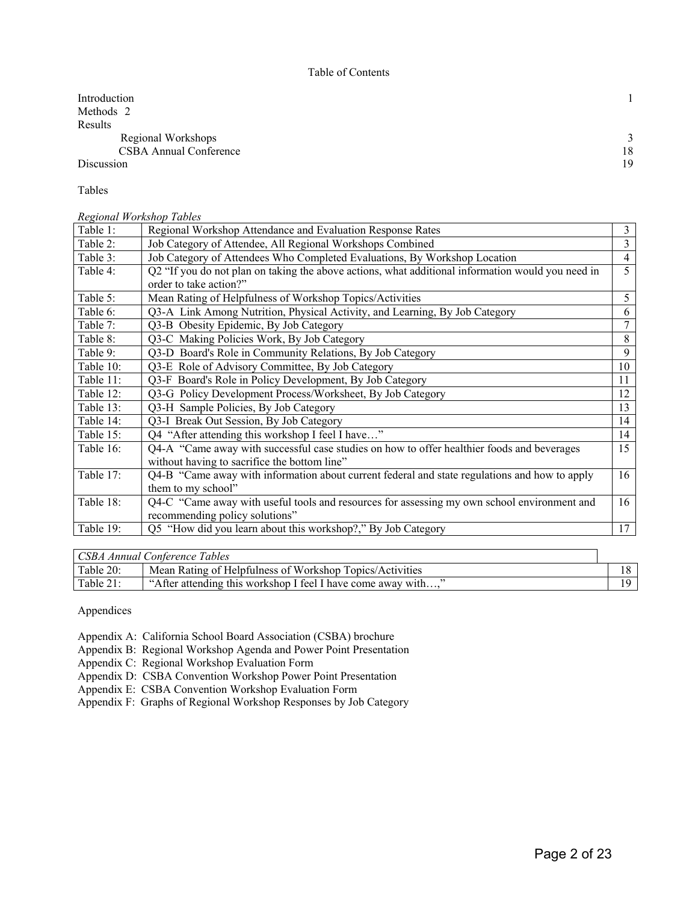| Introduction                  |              |
|-------------------------------|--------------|
| Methods 2                     |              |
| Results                       |              |
| Regional Workshops            | $\mathbf{r}$ |
| <b>CSBA Annual Conference</b> | 18           |
| Discussion                    | 19           |

Tables

*Regional Workshop Tables* 

| Table 1:  | Regional Workshop Attendance and Evaluation Response Rates                                        | 3              |
|-----------|---------------------------------------------------------------------------------------------------|----------------|
| Table 2:  | Job Category of Attendee, All Regional Workshops Combined                                         | $\overline{3}$ |
| Table 3:  | Job Category of Attendees Who Completed Evaluations, By Workshop Location                         | $\overline{4}$ |
| Table 4:  | Q2 "If you do not plan on taking the above actions, what additional information would you need in | 5              |
|           | order to take action?"                                                                            |                |
| Table 5:  | Mean Rating of Helpfulness of Workshop Topics/Activities                                          | 5 <sup>1</sup> |
| Table 6:  | Q3-A Link Among Nutrition, Physical Activity, and Learning, By Job Category                       | 6              |
| Table 7:  | Q3-B Obesity Epidemic, By Job Category                                                            | 7              |
| Table 8:  | Q3-C Making Policies Work, By Job Category                                                        | 8              |
| Table 9:  | Q3-D Board's Role in Community Relations, By Job Category                                         | 9              |
| Table 10: | Q3-E Role of Advisory Committee, By Job Category                                                  | 10             |
| Table 11: | Q3-F Board's Role in Policy Development, By Job Category                                          | 11             |
| Table 12: | Q3-G Policy Development Process/Worksheet, By Job Category                                        | 12             |
| Table 13: | Q3-H Sample Policies, By Job Category                                                             | 13             |
| Table 14: | Q3-I Break Out Session, By Job Category                                                           | 14             |
| Table 15: | Q4 "After attending this workshop I feel I have"                                                  | 14             |
| Table 16: | Q4-A "Came away with successful case studies on how to offer healthier foods and beverages        | 15             |
|           | without having to sacrifice the bottom line"                                                      |                |
| Table 17: | Q4-B "Came away with information about current federal and state regulations and how to apply     | 16             |
|           | them to my school"                                                                                |                |
| Table 18: | Q4-C "Came away with useful tools and resources for assessing my own school environment and       | 16             |
|           | recommending policy solutions"                                                                    |                |
| Table 19: | Q5 "How did you learn about this workshop?," By Job Category                                      | 17             |

| CSBA Annual Conference Tables |                                                              |  |  |  |
|-------------------------------|--------------------------------------------------------------|--|--|--|
| Table 20:                     | Mean Rating of Helpfulness of Workshop Topics/Activities     |  |  |  |
| Table $21$ :                  | "After attending this workshop I feel I have come away with" |  |  |  |

Appendices

Appendix A: California School Board Association (CSBA) brochure

Appendix B: Regional Workshop Agenda and Power Point Presentation

Appendix C: Regional Workshop Evaluation Form

Appendix D: CSBA Convention Workshop Power Point Presentation

Appendix E: CSBA Convention Workshop Evaluation Form

Appendix F: Graphs of Regional Workshop Responses by Job Category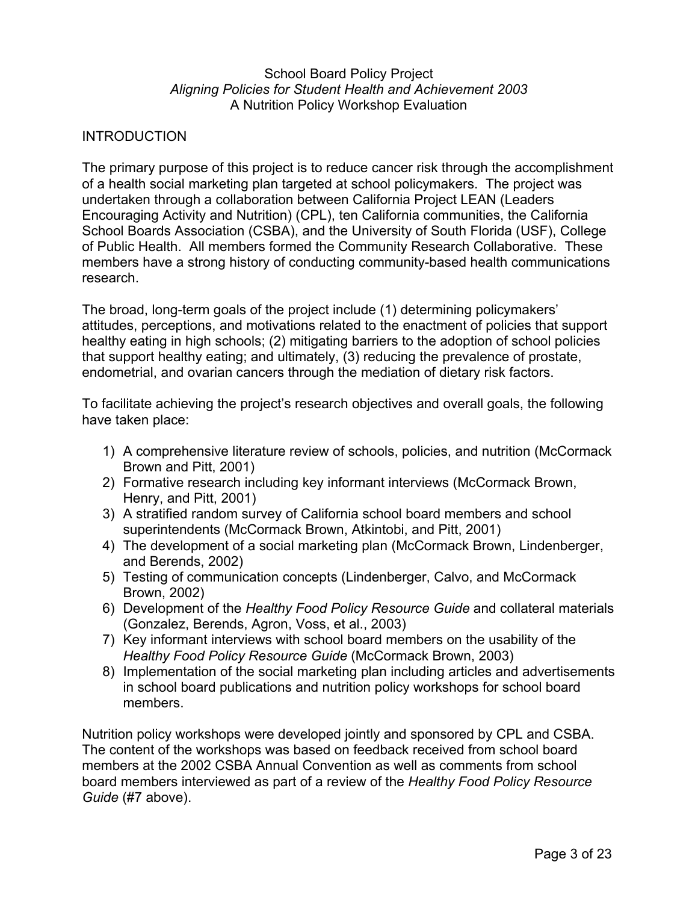#### School Board Policy Project *Aligning Policies for Student Health and Achievement 2003*  A Nutrition Policy Workshop Evaluation

# INTRODUCTION

The primary purpose of this project is to reduce cancer risk through the accomplishment of a health social marketing plan targeted at school policymakers. The project was undertaken through a collaboration between California Project LEAN (Leaders Encouraging Activity and Nutrition) (CPL), ten California communities, the California School Boards Association (CSBA), and the University of South Florida (USF), College of Public Health. All members formed the Community Research Collaborative. These members have a strong history of conducting community-based health communications research.

The broad, long-term goals of the project include (1) determining policymakers' attitudes, perceptions, and motivations related to the enactment of policies that support healthy eating in high schools; (2) mitigating barriers to the adoption of school policies that support healthy eating; and ultimately, (3) reducing the prevalence of prostate, endometrial, and ovarian cancers through the mediation of dietary risk factors.

To facilitate achieving the project's research objectives and overall goals, the following have taken place:

- 1) A comprehensive literature review of schools, policies, and nutrition (McCormack Brown and Pitt, 2001)
- 2) Formative research including key informant interviews (McCormack Brown, Henry, and Pitt, 2001)
- 3) A stratified random survey of California school board members and school superintendents (McCormack Brown, Atkintobi, and Pitt, 2001)
- 4) The development of a social marketing plan (McCormack Brown, Lindenberger, and Berends, 2002)
- 5) Testing of communication concepts (Lindenberger, Calvo, and McCormack Brown, 2002)
- 6) Development of the *Healthy Food Policy Resource Guide* and collateral materials (Gonzalez, Berends, Agron, Voss, et al., 2003)
- 7) Key informant interviews with school board members on the usability of the *Healthy Food Policy Resource Guide* (McCormack Brown, 2003)
- 8) Implementation of the social marketing plan including articles and advertisements in school board publications and nutrition policy workshops for school board members.

Nutrition policy workshops were developed jointly and sponsored by CPL and CSBA. The content of the workshops was based on feedback received from school board members at the 2002 CSBA Annual Convention as well as comments from school board members interviewed as part of a review of the *Healthy Food Policy Resource Guide* (#7 above).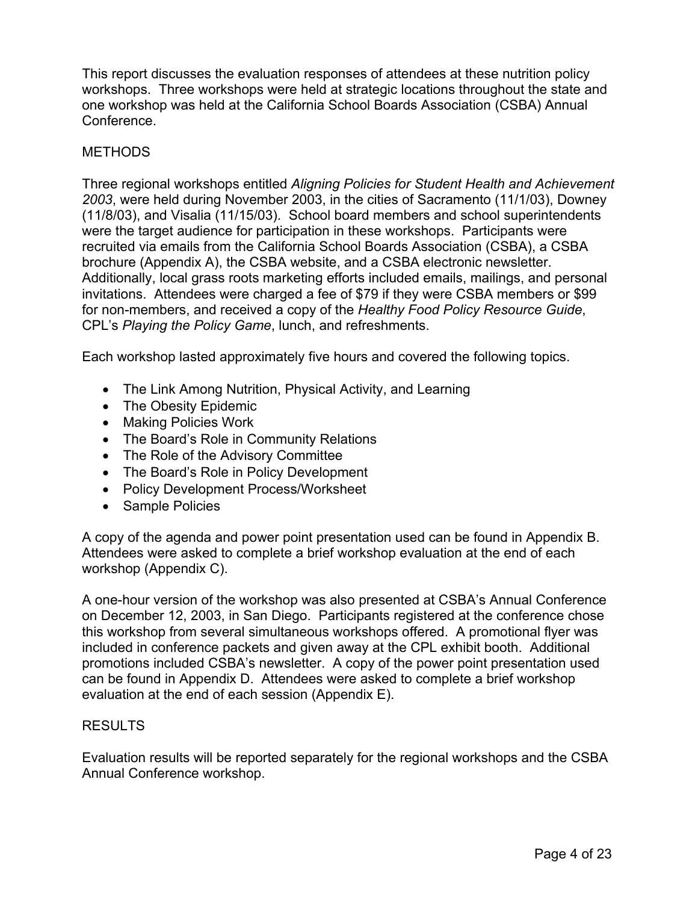This report discusses the evaluation responses of attendees at these nutrition policy workshops. Three workshops were held at strategic locations throughout the state and one workshop was held at the California School Boards Association (CSBA) Annual Conference.

# **METHODS**

Three regional workshops entitled *Aligning Policies for Student Health and Achievement 2003*, were held during November 2003, in the cities of Sacramento (11/1/03), Downey (11/8/03), and Visalia (11/15/03). School board members and school superintendents were the target audience for participation in these workshops. Participants were recruited via emails from the California School Boards Association (CSBA), a CSBA brochure (Appendix A), the CSBA website, and a CSBA electronic newsletter. Additionally, local grass roots marketing efforts included emails, mailings, and personal invitations. Attendees were charged a fee of \$79 if they were CSBA members or \$99 for non-members, and received a copy of the *Healthy Food Policy Resource Guide*, CPL's *Playing the Policy Game*, lunch, and refreshments.

Each workshop lasted approximately five hours and covered the following topics.

- The Link Among Nutrition, Physical Activity, and Learning
- The Obesity Epidemic
- Making Policies Work
- The Board's Role in Community Relations
- The Role of the Advisory Committee
- The Board's Role in Policy Development
- Policy Development Process/Worksheet
- Sample Policies

A copy of the agenda and power point presentation used can be found in Appendix B. Attendees were asked to complete a brief workshop evaluation at the end of each workshop (Appendix C).

A one-hour version of the workshop was also presented at CSBA's Annual Conference on December 12, 2003, in San Diego. Participants registered at the conference chose this workshop from several simultaneous workshops offered. A promotional flyer was included in conference packets and given away at the CPL exhibit booth. Additional promotions included CSBA's newsletter. A copy of the power point presentation used can be found in Appendix D. Attendees were asked to complete a brief workshop evaluation at the end of each session (Appendix E).

## RESULTS

Evaluation results will be reported separately for the regional workshops and the CSBA Annual Conference workshop.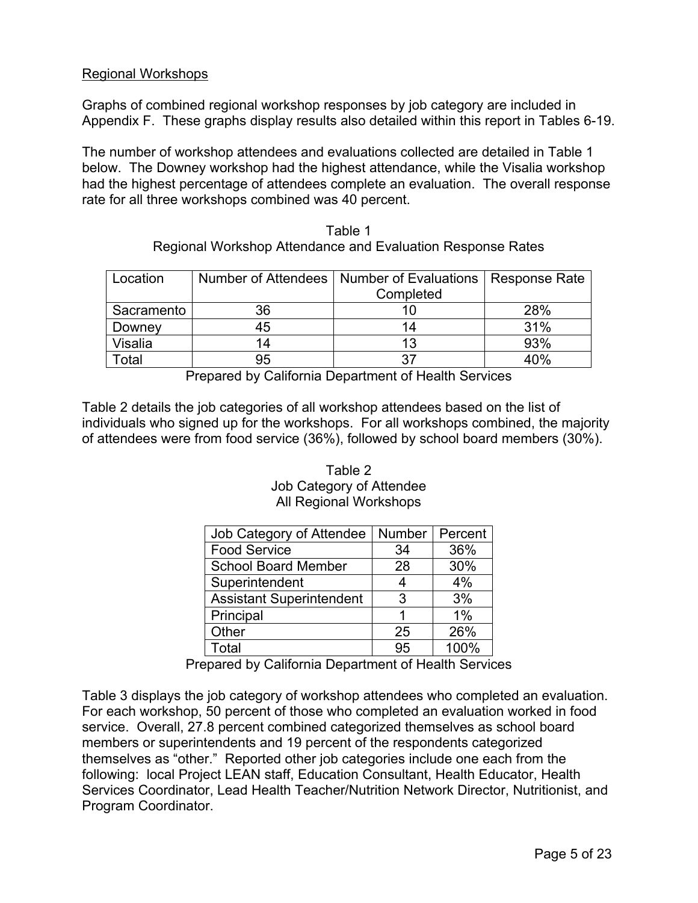## Regional Workshops

Graphs of combined regional workshop responses by job category are included in Appendix F. These graphs display results also detailed within this report in Tables 6-19.

The number of workshop attendees and evaluations collected are detailed in Table 1 below. The Downey workshop had the highest attendance, while the Visalia workshop had the highest percentage of attendees complete an evaluation. The overall response rate for all three workshops combined was 40 percent.

| Location          |    | Number of Attendees   Number of Evaluations   Response Rate<br>Completed |     |
|-------------------|----|--------------------------------------------------------------------------|-----|
| Sacramento        | 36 | 10                                                                       | 28% |
| Downey            | 45 | 14                                                                       | 31% |
| Visalia           | 14 | 13                                                                       | 93% |
| otal <sup>-</sup> | 95 | 37                                                                       | 40% |

Table 1 Regional Workshop Attendance and Evaluation Response Rates

Prepared by California Department of Health Services

Table 2 details the job categories of all workshop attendees based on the list of individuals who signed up for the workshops. For all workshops combined, the majority of attendees were from food service (36%), followed by school board members (30%).

#### Table 2 Job Category of Attendee All Regional Workshops

| Job Category of Attendee        | <b>Number</b> | Percent |
|---------------------------------|---------------|---------|
| <b>Food Service</b>             | 34            | 36%     |
| <b>School Board Member</b>      | 28            | 30%     |
| Superintendent                  |               | 4%      |
| <b>Assistant Superintendent</b> | 3             | 3%      |
| Principal                       |               | 1%      |
| Other                           | 25            | 26%     |
| Total                           | 95            | 100%    |

Prepared by California Department of Health Services

Table 3 displays the job category of workshop attendees who completed an evaluation. For each workshop, 50 percent of those who completed an evaluation worked in food service. Overall, 27.8 percent combined categorized themselves as school board members or superintendents and 19 percent of the respondents categorized themselves as "other." Reported other job categories include one each from the following: local Project LEAN staff, Education Consultant, Health Educator, Health Services Coordinator, Lead Health Teacher/Nutrition Network Director, Nutritionist, and Program Coordinator.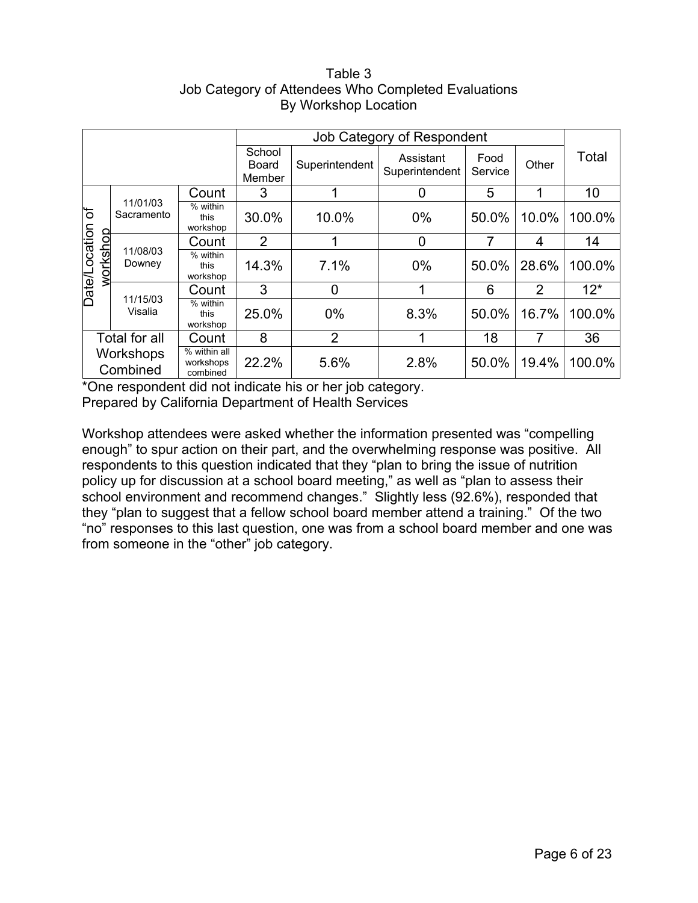## Table 3 Job Category of Attendees Who Completed Evaluations By Workshop Location

|                                  |                        |                                       |                           | Job Category of Respondent |                             |                 |                |        |  |  |
|----------------------------------|------------------------|---------------------------------------|---------------------------|----------------------------|-----------------------------|-----------------|----------------|--------|--|--|
|                                  |                        |                                       | School<br>Board<br>Member | Superintendent             | Assistant<br>Superintendent | Food<br>Service | Other          | Total  |  |  |
|                                  |                        | Count                                 | 3                         |                            | U                           | 5               |                | 10     |  |  |
| đ                                | 11/01/03<br>Sacramento | % within<br>this<br>workshop          | 30.0%                     | 10.0%                      | $0\%$                       | 50.0%           | 10.0%          | 100.0% |  |  |
|                                  | 11/08/03<br>Downey     | Count                                 | $\overline{2}$            |                            | 0                           | 7               | 4              | 14     |  |  |
| <b>Date/Location</b><br>workshop |                        | % within<br>this<br>workshop          | 14.3%                     | 7.1%                       | $0\%$                       | 50.0%           | 28.6%          | 100.0% |  |  |
|                                  |                        | Count                                 | 3                         | 0                          |                             | 6               | $\overline{2}$ | $12*$  |  |  |
|                                  | 11/15/03<br>Visalia    | % within<br>this<br>workshop          | 25.0%                     | $0\%$                      | 8.3%                        | 50.0%           | 16.7%          | 100.0% |  |  |
| Total for all<br>Count           |                        | 8                                     | $\overline{2}$            |                            | 18                          | 7               | 36             |        |  |  |
| Workshops<br>Combined            |                        | % within all<br>workshops<br>combined | 22.2%                     | 5.6%                       | 2.8%                        | 50.0%           | 19.4%          | 100.0% |  |  |

\*One respondent did not indicate his or her job category. Prepared by California Department of Health Services

Workshop attendees were asked whether the information presented was "compelling enough" to spur action on their part, and the overwhelming response was positive. All respondents to this question indicated that they "plan to bring the issue of nutrition policy up for discussion at a school board meeting," as well as "plan to assess their school environment and recommend changes." Slightly less (92.6%), responded that they "plan to suggest that a fellow school board member attend a training." Of the two "no" responses to this last question, one was from a school board member and one was from someone in the "other" job category.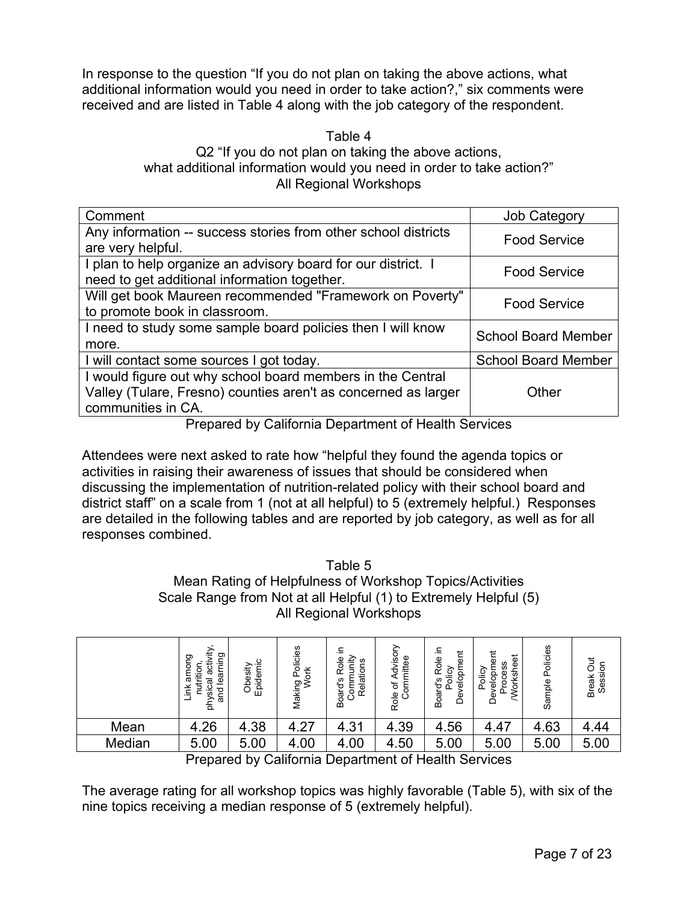In response to the question "If you do not plan on taking the above actions, what additional information would you need in order to take action?," six comments were received and are listed in Table 4 along with the job category of the respondent.

#### Table 4 Q2 "If you do not plan on taking the above actions, what additional information would you need in order to take action?" All Regional Workshops

| Comment                                                        | <b>Job Category</b>        |
|----------------------------------------------------------------|----------------------------|
| Any information -- success stories from other school districts | <b>Food Service</b>        |
| are very helpful.                                              |                            |
| I plan to help organize an advisory board for our district. I  | <b>Food Service</b>        |
| need to get additional information together.                   |                            |
| Will get book Maureen recommended "Framework on Poverty"       | <b>Food Service</b>        |
| to promote book in classroom.                                  |                            |
| I need to study some sample board policies then I will know    | <b>School Board Member</b> |
| more.                                                          |                            |
| I will contact some sources I got today.                       | <b>School Board Member</b> |
| I would figure out why school board members in the Central     |                            |
| Valley (Tulare, Fresno) counties aren't as concerned as larger | Other                      |
| communities in CA.                                             |                            |

Prepared by California Department of Health Services

Attendees were next asked to rate how "helpful they found the agenda topics or activities in raising their awareness of issues that should be considered when discussing the implementation of nutrition-related policy with their school board and district staff" on a scale from 1 (not at all helpful) to 5 (extremely helpful.) Responses are detailed in the following tables and are reported by job category, as well as for all responses combined.

#### Table 5 Mean Rating of Helpfulness of Workshop Topics/Activities Scale Range from Not at all Helpful (1) to Extremely Helpful (5) All Regional Workshops

|        | activity<br>learning<br>among<br>nutrition<br>physical<br>Ĕ<br>and | Epidemic<br>Obesity | olicies<br>čκ<br>Making Po<br>Work | ≘.<br>Role<br>Community<br>Relations<br>Board's | Advisory<br>ommittee<br>$\overleftarrow{\mathrm{o}}$<br>Role<br>Ō | ≘.<br>velopment<br>Role<br>Policy<br>Board's<br>ق | velopment<br>Vorksheet<br>Process<br>Policy<br>ق | Policies<br>Sample | Jut<br>Session<br><b>Break</b> |
|--------|--------------------------------------------------------------------|---------------------|------------------------------------|-------------------------------------------------|-------------------------------------------------------------------|---------------------------------------------------|--------------------------------------------------|--------------------|--------------------------------|
| Mean   | 4.26                                                               | 4.38                | 4.27                               | 4.31                                            | 4.39                                                              | 4.56                                              | 4.47                                             | 4.63               | 4.44                           |
| Median | 5.00                                                               | 5.00                | 4.00                               | 4.00                                            | 4.50                                                              | 5.00                                              | 5.00                                             | 5.00               | 5.00                           |
|        | $\blacksquare$                                                     | .                   |                                    |                                                 |                                                                   | $\sim$ 111 $\sim$ $\sim$ $\sim$                   |                                                  |                    |                                |

Prepared by California Department of Health Services

The average rating for all workshop topics was highly favorable (Table 5), with six of the nine topics receiving a median response of 5 (extremely helpful).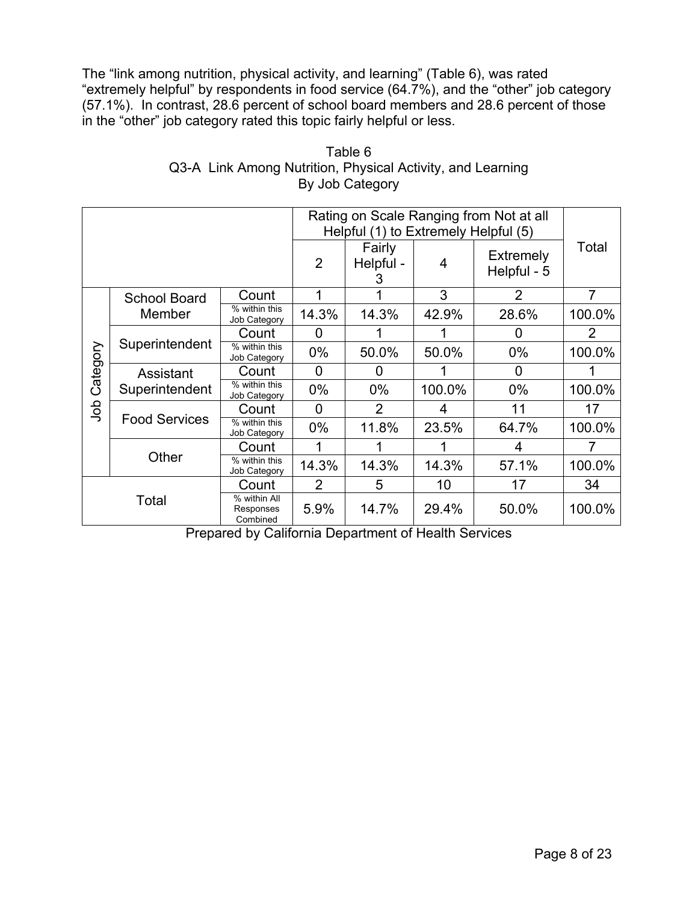The "link among nutrition, physical activity, and learning" (Table 6), was rated "extremely helpful" by respondents in food service (64.7%), and the "other" job category (57.1%). In contrast, 28.6 percent of school board members and 28.6 percent of those in the "other" job category rated this topic fairly helpful or less.

|          |                             |                                       |                | Rating on Scale Ranging from Not at all |        |                                 |                |  |  |
|----------|-----------------------------|---------------------------------------|----------------|-----------------------------------------|--------|---------------------------------|----------------|--|--|
|          |                             |                                       |                | Helpful (1) to Extremely Helpful (5)    |        |                                 |                |  |  |
|          |                             |                                       | $\overline{2}$ | Fairly<br>Helpful -<br>3                | 4      | <b>Extremely</b><br>Helpful - 5 | Total          |  |  |
|          | <b>School Board</b>         | Count                                 |                |                                         | 3      | $\overline{2}$                  | $\overline{7}$ |  |  |
|          | Member                      | % within this<br>Job Category         | 14.3%          | 14.3%                                   | 42.9%  | 28.6%                           | 100.0%         |  |  |
|          |                             | Count                                 | 0              |                                         |        | 0                               | 2              |  |  |
| Category | Superintendent              | % within this<br>Job Category         | $0\%$          | 50.0%                                   | 50.0%  | $0\%$                           | 100.0%         |  |  |
|          | Assistant<br>Superintendent | Count                                 | 0              | 0                                       |        | 0                               |                |  |  |
|          |                             | % within this<br>Job Category         | $0\%$          | $0\%$                                   | 100.0% | $0\%$                           | 100.0%         |  |  |
| doL      |                             | Count                                 | $\overline{0}$ | $\overline{2}$                          | 4      | 11                              | 17             |  |  |
|          | <b>Food Services</b>        | % within this<br>Job Category         | $0\%$          | 11.8%                                   | 23.5%  | 64.7%                           | 100.0%         |  |  |
|          |                             | Count                                 |                |                                         |        | 4                               |                |  |  |
|          | Other                       | % within this<br>Job Category         | 14.3%          | 14.3%                                   | 14.3%  | 57.1%                           | 100.0%         |  |  |
| Total    |                             | Count                                 | 2              | 5                                       | 10     | 17                              | 34             |  |  |
|          |                             | % within All<br>Responses<br>Combined | 5.9%           | 14.7%                                   | 29.4%  | 50.0%                           | 100.0%         |  |  |

Table 6 Q3-A Link Among Nutrition, Physical Activity, and Learning By Job Category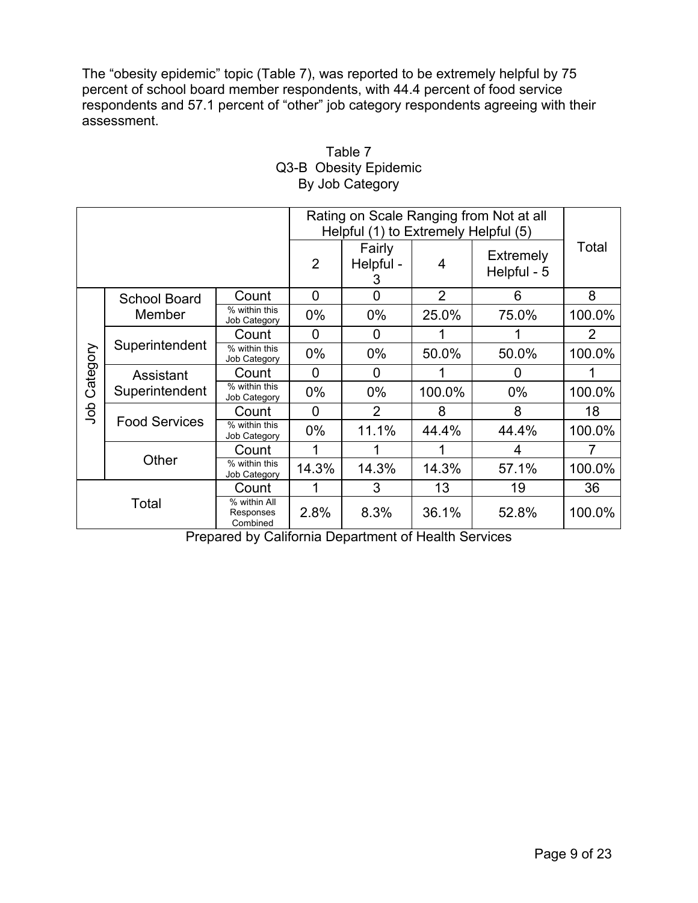The "obesity epidemic" topic (Table 7), was reported to be extremely helpful by 75 percent of school board member respondents, with 44.4 percent of food service respondents and 57.1 percent of "other" job category respondents agreeing with their assessment.

| Rating on Scale Ranging from Not at all<br>Helpful (1) to Extremely Helpful (5) |                             |                                       |              |                          |                |                                 |        |
|---------------------------------------------------------------------------------|-----------------------------|---------------------------------------|--------------|--------------------------|----------------|---------------------------------|--------|
|                                                                                 |                             |                                       | 2            | Fairly<br>Helpful -<br>3 | 4              | <b>Extremely</b><br>Helpful - 5 | Total  |
|                                                                                 | <b>School Board</b>         | Count                                 | 0            | 0                        | $\overline{2}$ | 6                               | 8      |
|                                                                                 | Member                      | % within this<br>Job Category         | $0\%$        | $0\%$                    | 25.0%          | 75.0%                           | 100.0% |
|                                                                                 |                             | Count                                 | <sup>0</sup> | 0                        |                |                                 | 2      |
| Category                                                                        | Superintendent              | % within this<br>Job Category         | $0\%$        | $0\%$                    | 50.0%          | 50.0%                           | 100.0% |
|                                                                                 | Assistant<br>Superintendent | Count                                 | $\Omega$     | 0                        |                | 0                               |        |
|                                                                                 |                             | % within this<br>Job Category         | $0\%$        | $0\%$                    | 100.0%         | $0\%$                           | 100.0% |
| dob                                                                             |                             | Count                                 | 0            | 2                        | 8              | 8                               | 18     |
|                                                                                 | <b>Food Services</b>        | % within this<br>Job Category         | $0\%$        | 11.1%                    | 44.4%          | 44.4%                           | 100.0% |
|                                                                                 |                             | Count                                 |              |                          |                | 4                               |        |
|                                                                                 | Other                       | % within this<br>Job Category         | 14.3%        | 14.3%                    | 14.3%          | 57.1%                           | 100.0% |
|                                                                                 |                             | Count                                 |              | 3                        | 13             | 19                              | 36     |
| Total                                                                           |                             | % within All<br>Responses<br>Combined | 2.8%         | 8.3%                     | 36.1%          | 52.8%                           | 100.0% |

# Table 7 Q3-B Obesity Epidemic By Job Category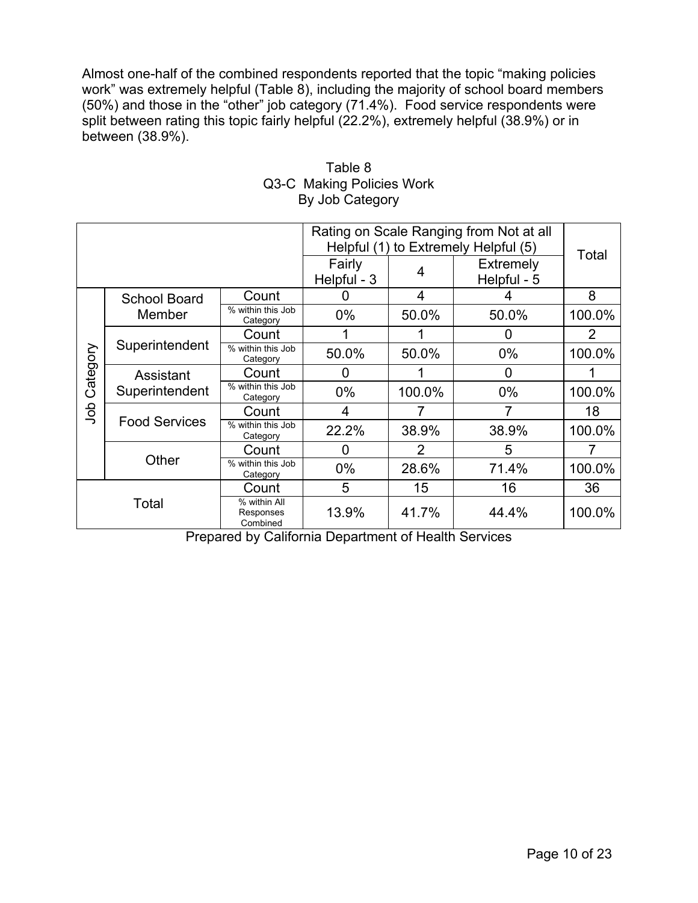Almost one-half of the combined respondents reported that the topic "making policies work" was extremely helpful (Table 8), including the majority of school board members (50%) and those in the "other" job category (71.4%). Food service respondents were split between rating this topic fairly helpful (22.2%), extremely helpful (38.9%) or in between (38.9%).

|                                                         |                             |                               | Rating on Scale Ranging from Not at all<br>Helpful (1) to Extremely Helpful (5) |        |                                 |                |
|---------------------------------------------------------|-----------------------------|-------------------------------|---------------------------------------------------------------------------------|--------|---------------------------------|----------------|
|                                                         |                             |                               | Fairly<br>Helpful - 3                                                           | 4      | <b>Extremely</b><br>Helpful - 5 | Total          |
|                                                         | <b>School Board</b>         | Count                         | 0                                                                               | 4      | 4                               | 8              |
|                                                         | Member                      | % within this Job<br>Category | $0\%$                                                                           | 50.0%  | 50.0%                           | 100.0%         |
|                                                         |                             | Count                         |                                                                                 |        | 0                               | $\overline{2}$ |
| Category                                                | Superintendent              | % within this Job<br>Category | 50.0%                                                                           | 50.0%  | $0\%$                           | 100.0%         |
|                                                         | Assistant<br>Superintendent | Count                         | 0                                                                               |        | 0                               |                |
|                                                         |                             | % within this Job<br>Category | $0\%$                                                                           | 100.0% | $0\%$                           | 100.0%         |
| doL                                                     |                             | Count                         | 4                                                                               |        |                                 | 18             |
|                                                         | <b>Food Services</b>        | % within this Job<br>Category | 22.2%                                                                           | 38.9%  | 38.9%                           | 100.0%         |
|                                                         |                             | Count                         | 0                                                                               | 2      | 5                               |                |
|                                                         | Other                       | % within this Job<br>Category | $0\%$                                                                           | 28.6%  | 71.4%                           | 100.0%         |
| Count<br>% within All<br>Total<br>Responses<br>Combined |                             |                               | 5                                                                               | 15     | 16                              | 36             |
|                                                         |                             |                               | 13.9%                                                                           | 41.7%  | 44.4%                           | 100.0%         |

# Table 8 Q3-C Making Policies Work By Job Category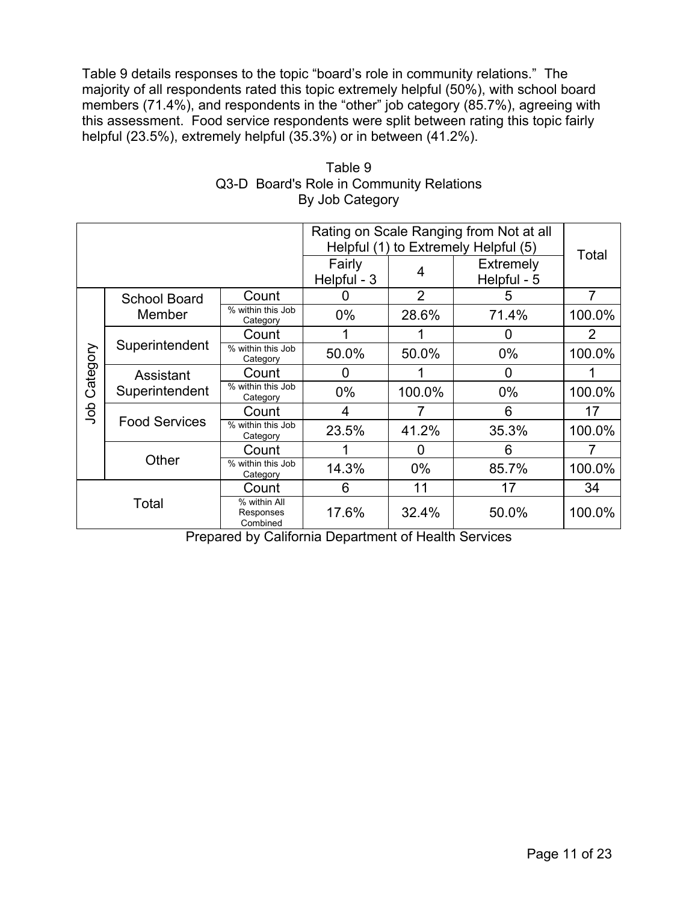Table 9 details responses to the topic "board's role in community relations." The majority of all respondents rated this topic extremely helpful (50%), with school board members (71.4%), and respondents in the "other" job category (85.7%), agreeing with this assessment. Food service respondents were split between rating this topic fairly helpful (23.5%), extremely helpful (35.3%) or in between (41.2%).

|                                                         |                             |                               | Rating on Scale Ranging from Not at all<br>Helpful (1) to Extremely Helpful (5) | Total          |                                 |        |
|---------------------------------------------------------|-----------------------------|-------------------------------|---------------------------------------------------------------------------------|----------------|---------------------------------|--------|
|                                                         |                             |                               | Fairly<br>Helpful - 3                                                           | 4              | <b>Extremely</b><br>Helpful - 5 |        |
|                                                         | <b>School Board</b>         | Count                         | $\mathbf{I}$                                                                    | $\overline{2}$ | 5                               | 7      |
|                                                         | Member                      | % within this Job<br>Category | $0\%$                                                                           | 28.6%          | 71.4%                           | 100.0% |
|                                                         |                             | Count                         |                                                                                 |                | 0                               | 2      |
| Category                                                | Superintendent              | % within this Job<br>Category | 50.0%                                                                           | 50.0%          | $0\%$                           | 100.0% |
|                                                         | Assistant<br>Superintendent | Count                         | $\mathbf{0}$                                                                    |                | ŋ                               |        |
|                                                         |                             | % within this Job<br>Category | $0\%$                                                                           | 100.0%         | $0\%$                           | 100.0% |
| dob                                                     | <b>Food Services</b>        | Count                         | 4                                                                               |                | 6                               | 17     |
|                                                         |                             | % within this Job<br>Category | 23.5%                                                                           | 41.2%          | 35.3%                           | 100.0% |
|                                                         |                             | Count                         |                                                                                 | O              | 6                               |        |
|                                                         | Other                       | % within this Job<br>Category | 14.3%                                                                           | $0\%$          | 85.7%                           | 100.0% |
| Count<br>% within All<br>Total<br>Responses<br>Combined |                             | 6                             | 11                                                                              | 17             | 34                              |        |
|                                                         |                             |                               | 17.6%                                                                           | 32.4%          | 50.0%                           | 100.0% |

## Table 9 Q3-D Board's Role in Community Relations By Job Category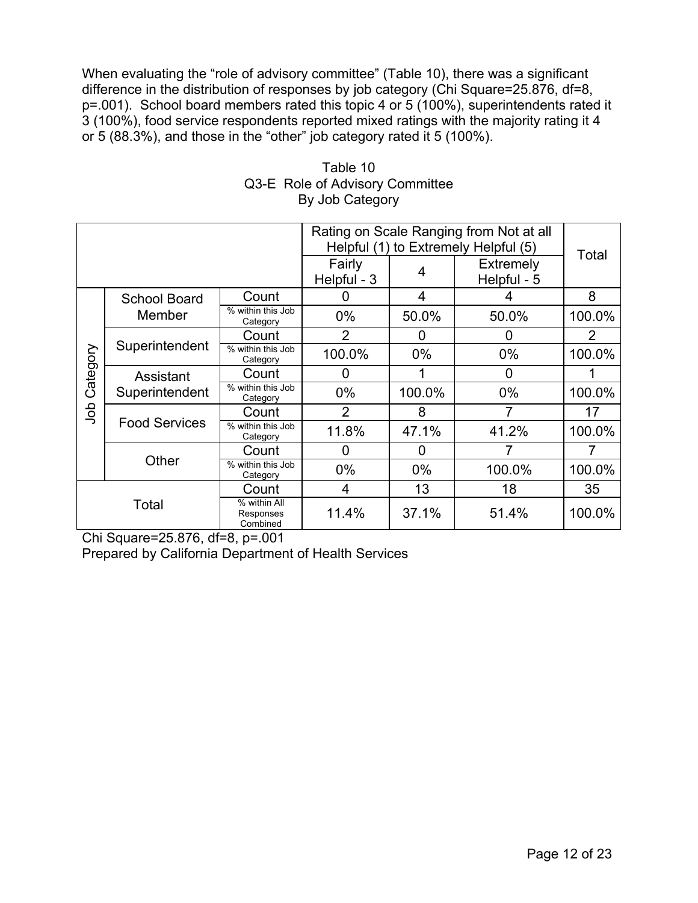When evaluating the "role of advisory committee" (Table 10), there was a significant difference in the distribution of responses by job category (Chi Square=25.876, df=8, p=.001). School board members rated this topic 4 or 5 (100%), superintendents rated it 3 (100%), food service respondents reported mixed ratings with the majority rating it 4 or 5 (88.3%), and those in the "other" job category rated it 5 (100%).

|          |                             |                                       | Rating on Scale Ranging from Not at all |        |                                                                         |                |
|----------|-----------------------------|---------------------------------------|-----------------------------------------|--------|-------------------------------------------------------------------------|----------------|
|          |                             |                                       | Fairly<br>Helpful - 3                   | 4      | Helpful (1) to Extremely Helpful (5)<br><b>Extremely</b><br>Helpful - 5 | Total          |
|          | <b>School Board</b>         | Count                                 |                                         | 4      |                                                                         | 8              |
|          | Member                      | % within this Job<br>Category         | $0\%$                                   | 50.0%  | 50.0%                                                                   | 100.0%         |
|          |                             | Count                                 | $\overline{2}$                          | 0      | 0                                                                       | $\overline{2}$ |
| Category | Superintendent              | % within this Job<br>Category         | 100.0%                                  | $0\%$  | $0\%$                                                                   | 100.0%         |
|          | Assistant<br>Superintendent | Count                                 | 0                                       |        | 0                                                                       |                |
|          |                             | % within this Job<br>Category         | $0\%$                                   | 100.0% | $0\%$                                                                   | 100.0%         |
| dob      |                             | Count                                 | 2                                       | 8      | 7                                                                       | 17             |
|          | <b>Food Services</b>        | % within this Job<br>Category         | 11.8%                                   | 47.1%  | 41.2%                                                                   | 100.0%         |
|          |                             | Count                                 | O                                       | 0      |                                                                         |                |
|          | Other                       | % within this Job<br>Category         | $0\%$                                   | $0\%$  | 100.0%                                                                  | 100.0%         |
| Count    |                             |                                       | 4                                       | 13     | 18                                                                      | 35             |
| Total    |                             | % within All<br>Responses<br>Combined | 11.4%                                   | 37.1%  | 51.4%                                                                   | 100.0%         |

## Table 10 Q3-E Role of Advisory Committee By Job Category

Chi Square=25.876, df=8, p=.001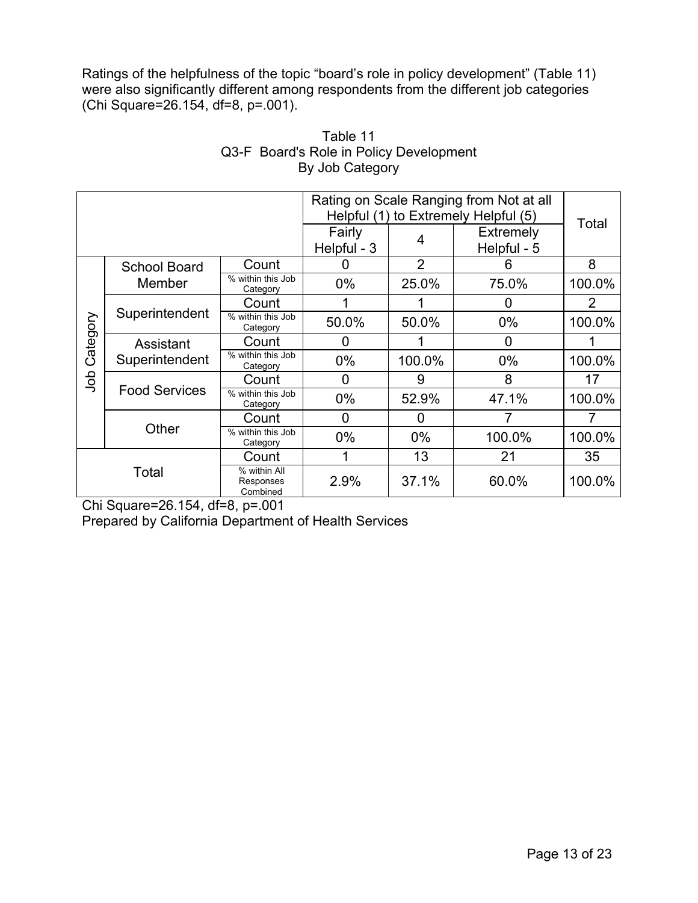Ratings of the helpfulness of the topic "board's role in policy development" (Table 11) were also significantly different among respondents from the different job categories (Chi Square=26.154, df=8, p=.001).

| Rating on Scale Ranging from Not at all |                             |                                       |             |                                      |                  |        |
|-----------------------------------------|-----------------------------|---------------------------------------|-------------|--------------------------------------|------------------|--------|
|                                         |                             |                                       |             | Helpful (1) to Extremely Helpful (5) | Total            |        |
|                                         |                             |                                       | Fairly      | 4                                    | <b>Extremely</b> |        |
|                                         |                             |                                       | Helpful - 3 |                                      | Helpful - 5      |        |
|                                         | <b>School Board</b>         | Count                                 |             | $\overline{2}$                       | 6                | 8      |
|                                         | Member                      | % within this Job<br>Category         | $0\%$       | 25.0%                                | 75.0%            | 100.0% |
| Category                                | Superintendent              | Count                                 |             |                                      | 0                | 2      |
|                                         |                             | % within this Job<br>Category         | 50.0%       | 50.0%                                | $0\%$            | 100.0% |
|                                         | Assistant<br>Superintendent | Count                                 | 0           |                                      | 0                |        |
|                                         |                             | % within this Job<br>Category         | $0\%$       | 100.0%                               | $0\%$            | 100.0% |
| ap<br>C                                 |                             | Count                                 | $\Omega$    | 9                                    | 8                | 17     |
|                                         | <b>Food Services</b>        | % within this Job<br>Category         | $0\%$       | 52.9%                                | 47.1%            | 100.0% |
|                                         |                             | Count                                 | 0           | O                                    |                  |        |
|                                         | Other                       | % within this Job<br>Category         | $0\%$       | $0\%$                                | 100.0%           | 100.0% |
|                                         |                             | Count                                 |             | 13                                   | 21               | 35     |
| Total                                   |                             | % within All<br>Responses<br>Combined | 2.9%        | 37.1%                                | 60.0%            | 100.0% |

# Table 11 Q3-F Board's Role in Policy Development By Job Category

Chi Square=26.154, df=8, p=.001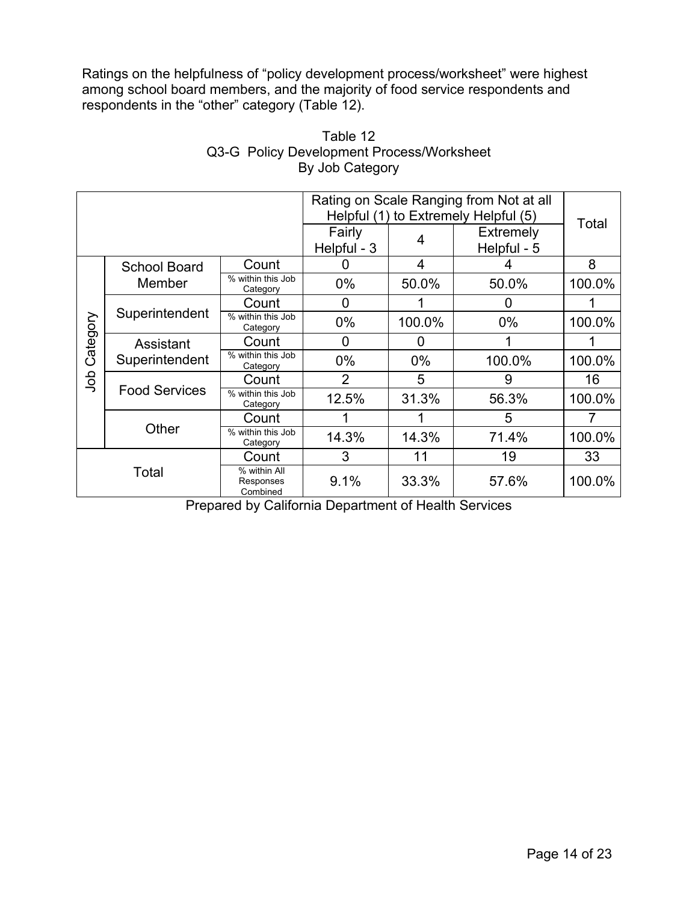Ratings on the helpfulness of "policy development process/worksheet" were highest among school board members, and the majority of food service respondents and respondents in the "other" category (Table 12).

| Rating on Scale Ranging from Not at all |                             |                                       |                |                                 |                                      |        |
|-----------------------------------------|-----------------------------|---------------------------------------|----------------|---------------------------------|--------------------------------------|--------|
|                                         |                             |                                       |                |                                 | Helpful (1) to Extremely Helpful (5) | Total  |
|                                         |                             | Fairly<br>Helpful - 3                 | 4              | <b>Extremely</b><br>Helpful - 5 |                                      |        |
|                                         | <b>School Board</b>         | Count                                 |                | 4                               |                                      | 8      |
|                                         | Member                      | % within this Job<br>Category         | $0\%$          | 50.0%                           | 50.0%                                | 100.0% |
|                                         | Superintendent              | Count                                 | O              |                                 | 0                                    |        |
| Category                                |                             | % within this Job<br>Category         | $0\%$          | 100.0%                          | $0\%$                                | 100.0% |
|                                         | Assistant<br>Superintendent | Count                                 | 0              | O                               |                                      |        |
|                                         |                             | % within this Job<br>Category         | $0\%$          | $0\%$                           | 100.0%                               | 100.0% |
| dob                                     |                             | Count                                 | $\overline{2}$ | 5                               | 9                                    | 16     |
|                                         | <b>Food Services</b>        | % within this Job<br>Category         | 12.5%          | 31.3%                           | 56.3%                                | 100.0% |
|                                         |                             | Count                                 |                |                                 | 5                                    |        |
|                                         | Other                       | % within this Job<br>Category         | 14.3%          | 14.3%                           | 71.4%                                | 100.0% |
|                                         |                             | Count                                 | 3              | 11                              | 19                                   | 33     |
| Total                                   |                             | % within All<br>Responses<br>Combined | 9.1%           | 33.3%                           | 57.6%                                | 100.0% |

# Table 12 Q3-G Policy Development Process/Worksheet By Job Category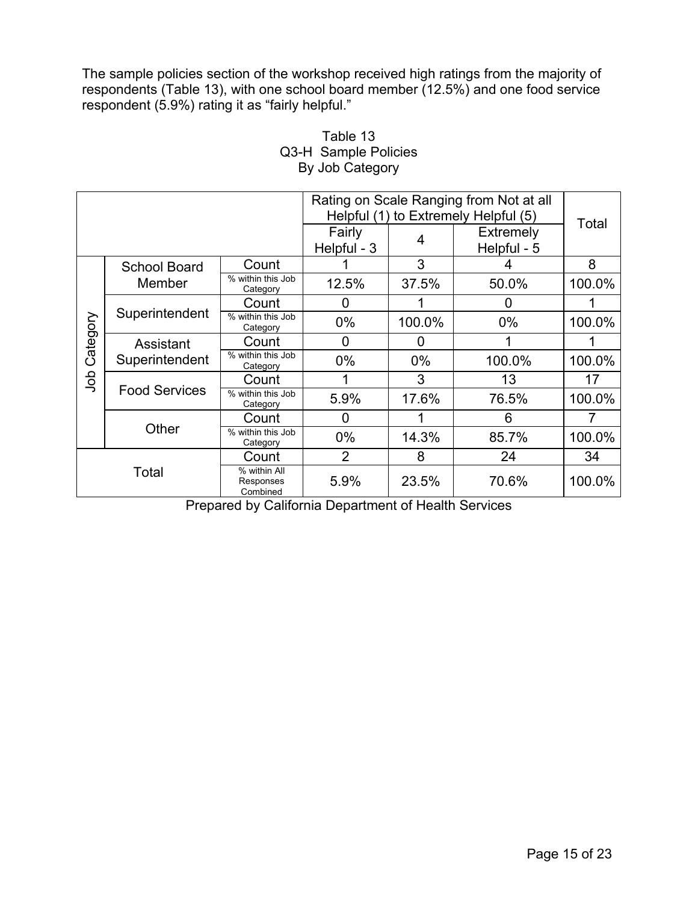The sample policies section of the workshop received high ratings from the majority of respondents (Table 13), with one school board member (12.5%) and one food service respondent (5.9%) rating it as "fairly helpful."

| Rating on Scale Ranging from Not at all |                             |                                       |                |                                 |                                      |        |
|-----------------------------------------|-----------------------------|---------------------------------------|----------------|---------------------------------|--------------------------------------|--------|
|                                         |                             |                                       |                |                                 | Helpful (1) to Extremely Helpful (5) | Total  |
|                                         |                             | Fairly<br>Helpful - 3                 | 4              | <b>Extremely</b><br>Helpful - 5 |                                      |        |
|                                         | <b>School Board</b>         | Count                                 |                | 3                               |                                      | 8      |
|                                         | Member                      | % within this Job<br>Category         | 12.5%          | 37.5%                           | 50.0%                                | 100.0% |
| Category                                | Superintendent              | Count                                 | O              |                                 | O                                    |        |
|                                         |                             | % within this Job<br>Category         | $0\%$          | 100.0%                          | $0\%$                                | 100.0% |
|                                         | Assistant<br>Superintendent | Count                                 | 0              | 0                               |                                      |        |
|                                         |                             | % within this Job<br>Category         | $0\%$          | $0\%$                           | 100.0%                               | 100.0% |
| dop                                     | <b>Food Services</b>        | Count                                 |                | 3                               | 13                                   | 17     |
|                                         |                             | % within this Job<br>Category         | 5.9%           | 17.6%                           | 76.5%                                | 100.0% |
|                                         |                             | Count                                 | $\Omega$       |                                 | 6                                    |        |
|                                         | Other                       | % within this Job<br>Category         | $0\%$          | 14.3%                           | 85.7%                                | 100.0% |
|                                         |                             | Count                                 | $\overline{2}$ | 8                               | 24                                   | 34     |
| Total                                   |                             | % within All<br>Responses<br>Combined | 5.9%           | 23.5%                           | 70.6%                                | 100.0% |

# Table 13 Q3-H Sample Policies By Job Category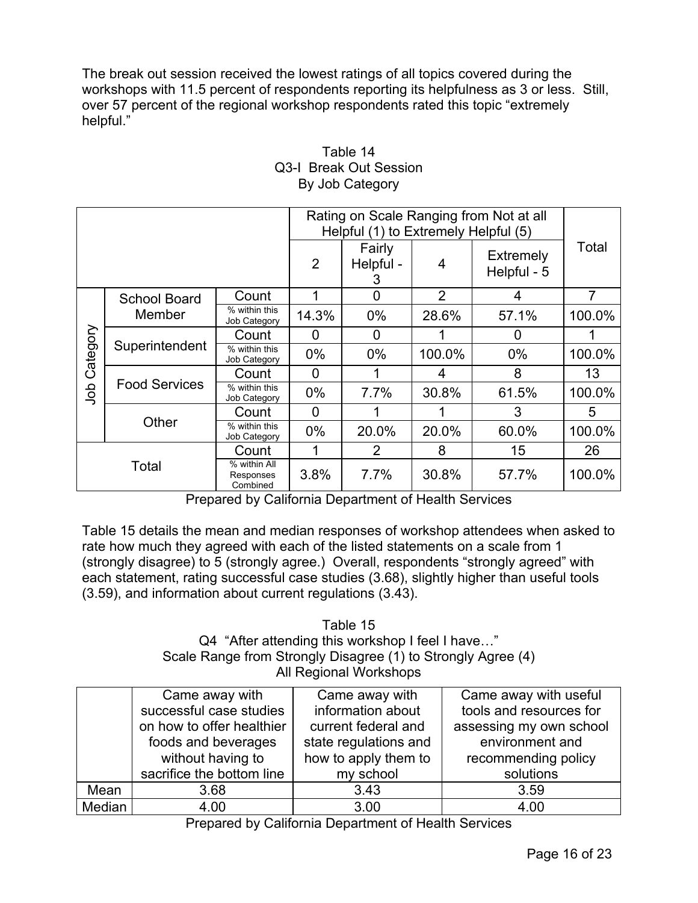The break out session received the lowest ratings of all topics covered during the workshops with 11.5 percent of respondents reporting its helpfulness as 3 or less. Still, over 57 percent of the regional workshop respondents rated this topic "extremely helpful."

|          |                      | Rating on Scale Ranging from Not at all<br>Helpful (1) to Extremely Helpful (5) |                |                          |        |                                 |                |
|----------|----------------------|---------------------------------------------------------------------------------|----------------|--------------------------|--------|---------------------------------|----------------|
|          |                      |                                                                                 | $\overline{2}$ | Fairly<br>Helpful -<br>3 | 4      | <b>Extremely</b><br>Helpful - 5 | Total          |
|          | <b>School Board</b>  | Count                                                                           |                | 0                        | 2      | 4                               | $\overline{7}$ |
|          | Member               | % within this<br>Job Category                                                   | 14.3%          | $0\%$                    | 28.6%  | 57.1%                           | 100.0%         |
|          | Superintendent       | Count                                                                           | 0              | $\mathbf 0$              |        | 0                               |                |
| Category |                      | % within this<br>Job Category                                                   | $0\%$          | $0\%$                    | 100.0% | $0\%$                           | 100.0%         |
|          | <b>Food Services</b> | Count                                                                           | 0              |                          | 4      | 8                               | 13             |
| dol      |                      | % within this<br>Job Category                                                   | $0\%$          | 7.7%                     | 30.8%  | 61.5%                           | 100.0%         |
|          |                      | Count                                                                           | 0              |                          |        | 3                               | 5              |
|          | Other                | % within this<br>Job Category                                                   | $0\%$          | 20.0%                    | 20.0%  | 60.0%                           | 100.0%         |
|          |                      | Count                                                                           |                | 2                        | 8      | 15                              | 26             |
| Total    |                      | % within All<br>Responses<br>Combined                                           | 3.8%           | 7.7%                     | 30.8%  | 57.7%                           | 100.0%         |

# Table 14 Q3-I Break Out Session By Job Category

Prepared by California Department of Health Services

Table 15 details the mean and median responses of workshop attendees when asked to rate how much they agreed with each of the listed statements on a scale from 1 (strongly disagree) to 5 (strongly agree.) Overall, respondents "strongly agreed" with each statement, rating successful case studies (3.68), slightly higher than useful tools (3.59), and information about current regulations (3.43).

### Table 15 Q4 "After attending this workshop I feel I have…" Scale Range from Strongly Disagree (1) to Strongly Agree (4) All Regional Workshops

|        | Came away with            | Came away with        | Came away with useful   |
|--------|---------------------------|-----------------------|-------------------------|
|        | successful case studies   | information about     | tools and resources for |
|        | on how to offer healthier | current federal and   | assessing my own school |
|        | foods and beverages       | state regulations and | environment and         |
|        | without having to         | how to apply them to  | recommending policy     |
|        | sacrifice the bottom line | my school             | solutions               |
| Mean   | 3.68                      | 3.43                  | 3.59                    |
| Median | 4.00                      | 3.00                  | 4.00                    |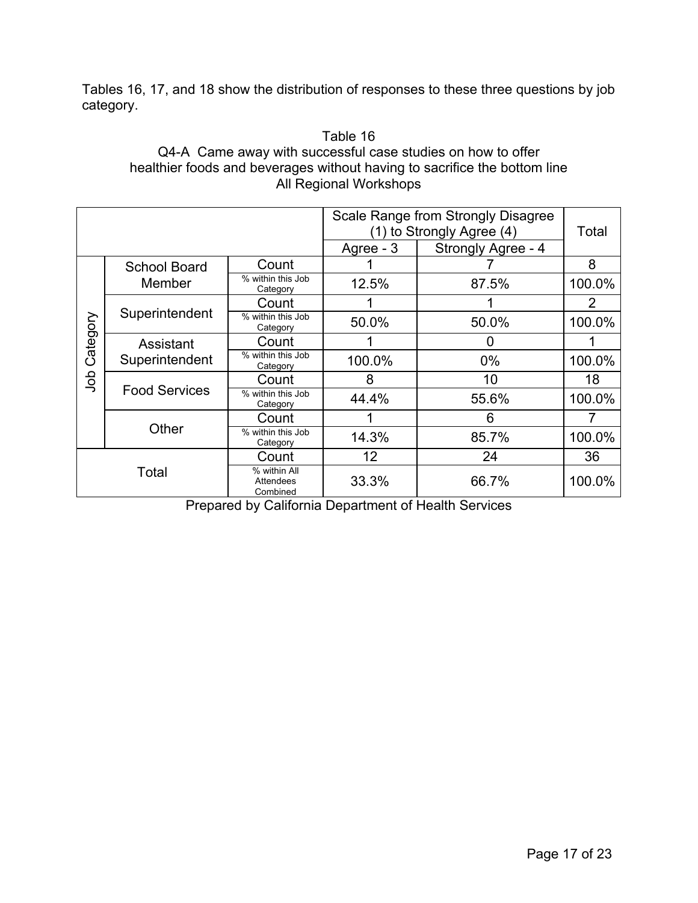Tables 16, 17, and 18 show the distribution of responses to these three questions by job category.

## Table 16 Q4-A Came away with successful case studies on how to offer healthier foods and beverages without having to sacrifice the bottom line All Regional Workshops

| Scale Range from Strongly Disagree<br>(1) to Strongly Agree (4) |                      |                                       | Total     |                    |        |
|-----------------------------------------------------------------|----------------------|---------------------------------------|-----------|--------------------|--------|
|                                                                 |                      |                                       | Agree - 3 | Strongly Agree - 4 |        |
|                                                                 | <b>School Board</b>  | Count                                 |           |                    | 8      |
|                                                                 | Member               | % within this Job<br>Category         | 12.5%     | 87.5%              | 100.0% |
|                                                                 |                      | Count                                 |           |                    | 2      |
| Category                                                        | Superintendent       | % within this Job<br>Category         | 50.0%     | 50.0%              | 100.0% |
|                                                                 | Assistant            | Count                                 |           | O                  |        |
|                                                                 | Superintendent       | % within this Job<br>Category         | 100.0%    | $0\%$              | 100.0% |
| doL                                                             |                      | Count                                 | 8         | 10                 | 18     |
|                                                                 | <b>Food Services</b> | % within this Job<br>Category         | 44.4%     | 55.6%              | 100.0% |
|                                                                 |                      | Count                                 |           | 6                  |        |
|                                                                 | Other                | % within this Job<br>Category         | 14.3%     | 85.7%              | 100.0% |
|                                                                 |                      | Count                                 | 12        | 24                 | 36     |
| Total                                                           |                      | % within All<br>Attendees<br>Combined | 33.3%     | 66.7%              | 100.0% |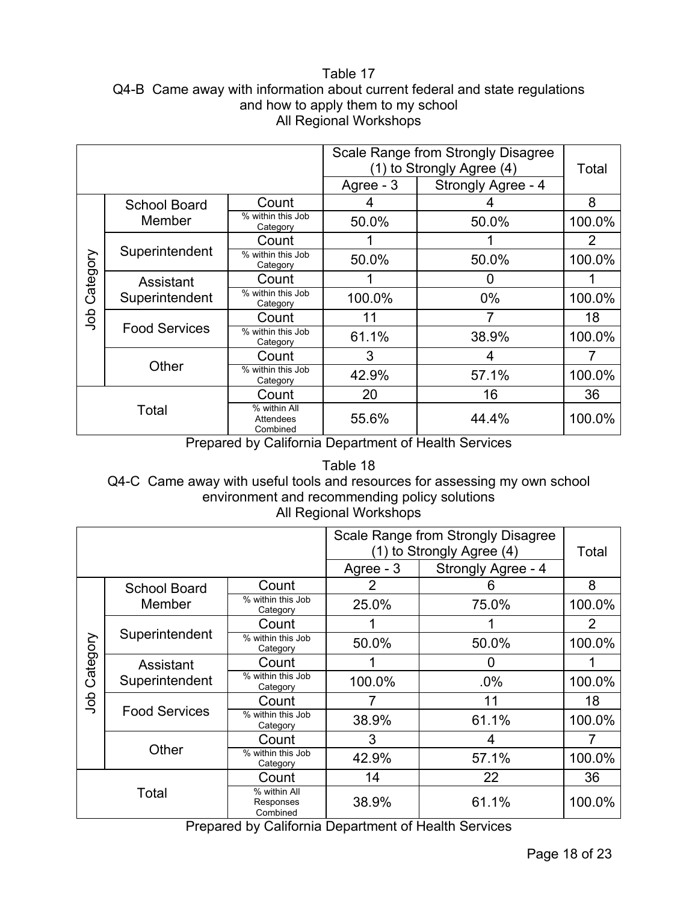### Table 17 Q4-B Came away with information about current federal and state regulations and how to apply them to my school All Regional Workshops

|          |                      |                                       | Scale Range from Strongly Disagree<br>(1) to Strongly Agree (4) | Total              |        |
|----------|----------------------|---------------------------------------|-----------------------------------------------------------------|--------------------|--------|
|          |                      |                                       | Agree - 3                                                       | Strongly Agree - 4 |        |
|          | <b>School Board</b>  | Count                                 |                                                                 |                    | 8      |
|          | Member               | % within this Job<br>Category         | 50.0%                                                           | 50.0%              | 100.0% |
|          |                      | Count                                 |                                                                 |                    | 2      |
| Category | Superintendent       | % within this Job<br>Category         | 50.0%                                                           | 50.0%              | 100.0% |
|          | Assistant            | Count                                 |                                                                 |                    |        |
|          | Superintendent       | % within this Job<br>Category         | 100.0%                                                          | $0\%$              | 100.0% |
| dob      | <b>Food Services</b> | Count                                 | 11                                                              |                    | 18     |
|          |                      | % within this Job<br>Category         | 61.1%                                                           | 38.9%              | 100.0% |
|          |                      | Count                                 | 3                                                               | 4                  |        |
|          | Other                | % within this Job<br>Category         | 42.9%                                                           | 57.1%              | 100.0% |
|          |                      | Count                                 | 20                                                              | 16                 | 36     |
| Total    |                      | % within All<br>Attendees<br>Combined | 55.6%                                                           | 44.4%              | 100.0% |

Prepared by California Department of Health Services

Table 18 Q4-C Came away with useful tools and resources for assessing my own school environment and recommending policy solutions All Regional Workshops

| Scale Range from Strongly Disagree<br>(1) to Strongly Agree (4) |                             |                                       |           |                    | Total  |
|-----------------------------------------------------------------|-----------------------------|---------------------------------------|-----------|--------------------|--------|
|                                                                 |                             |                                       | Agree - 3 | Strongly Agree - 4 |        |
|                                                                 | <b>School Board</b>         | Count                                 | 2         | 6                  | 8      |
|                                                                 | Member                      | % within this Job<br>Category         | 25.0%     | 75.0%              | 100.0% |
|                                                                 |                             | Count                                 |           |                    | 2      |
| Category                                                        | Superintendent              | % within this Job<br>Category         | 50.0%     | 50.0%              | 100.0% |
|                                                                 | Assistant<br>Superintendent | Count                                 |           | 0                  |        |
|                                                                 |                             | % within this Job<br>Category         | 100.0%    | $.0\%$             | 100.0% |
| dol                                                             | <b>Food Services</b>        | Count                                 |           | 11                 | 18     |
|                                                                 |                             | % within this Job<br>Category         | 38.9%     | 61.1%              | 100.0% |
|                                                                 |                             | Count                                 | 3         | 4                  |        |
|                                                                 | Other                       | % within this Job<br>Category         | 42.9%     | 57.1%              | 100.0% |
|                                                                 |                             | Count                                 | 14        | 22                 | 36     |
| Total                                                           |                             | % within All<br>Responses<br>Combined | 38.9%     | 61.1%              | 100.0% |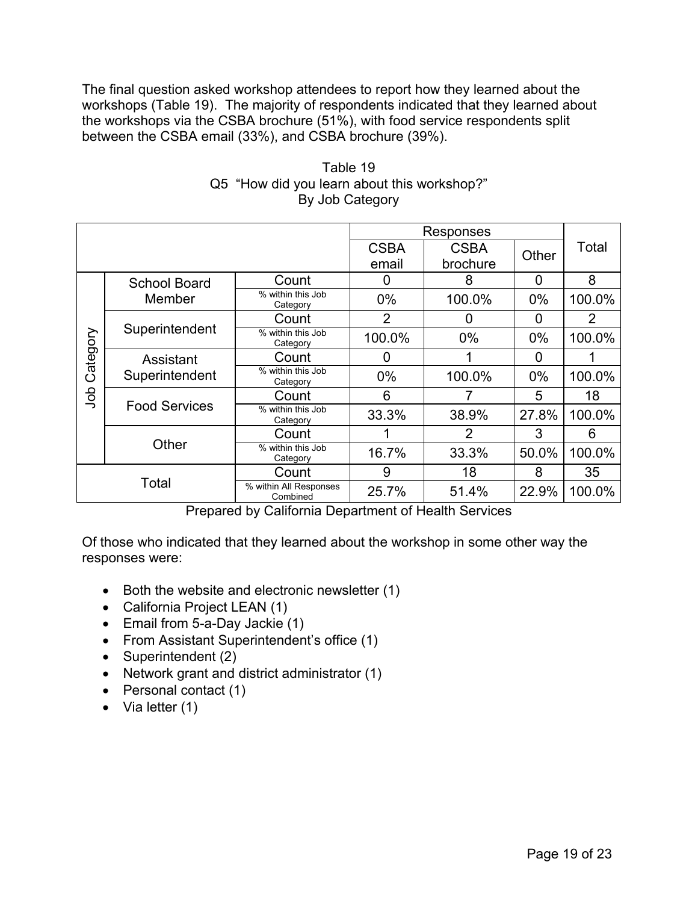The final question asked workshop attendees to report how they learned about the workshops (Table 19). The majority of respondents indicated that they learned about the workshops via the CSBA brochure (51%), with food service respondents split between the CSBA email (33%), and CSBA brochure (39%).

|          |                      |                                    |                | Responses      |       |                |
|----------|----------------------|------------------------------------|----------------|----------------|-------|----------------|
|          |                      |                                    |                |                |       |                |
|          |                      |                                    | <b>CSBA</b>    | <b>CSBA</b>    | Other | Total          |
|          |                      |                                    | email          | brochure       |       |                |
|          | <b>School Board</b>  | Count                              | 0              | 8              | 0     | 8              |
|          | Member               | % within this Job<br>Category      | $0\%$          | 100.0%         | $0\%$ | 100.0%         |
|          |                      | Count                              | $\overline{2}$ | 0              | 0     | $\overline{2}$ |
| Category | Superintendent       | % within this Job<br>Category      | 100.0%         | $0\%$          | $0\%$ | 100.0%         |
|          | Assistant            | Count                              | 0              |                | 0     |                |
|          | Superintendent       | % within this Job<br>Category      | $0\%$          | 100.0%         | $0\%$ | 100.0%         |
| doL      |                      | Count                              | 6              |                | 5     | 18             |
|          | <b>Food Services</b> | % within this Job<br>Category      | 33.3%          | 38.9%          | 27.8% | 100.0%         |
|          |                      | Count                              |                | $\overline{2}$ | 3     | 6              |
|          | Other                | % within this Job<br>Category      | 16.7%          | 33.3%          | 50.0% | 100.0%         |
| Total    |                      | Count                              | 9              | 18             | 8     | 35             |
|          |                      | % within All Responses<br>Combined | 25.7%          | 51.4%          | 22.9% | 100.0%         |

Table 19 Q5 "How did you learn about this workshop?" By Job Category

Prepared by California Department of Health Services

Of those who indicated that they learned about the workshop in some other way the responses were:

- Both the website and electronic newsletter (1)
- California Project LEAN (1)
- Email from 5-a-Day Jackie (1)
- From Assistant Superintendent's office (1)
- Superintendent (2)
- Network grant and district administrator (1)
- Personal contact (1)
- Via letter (1)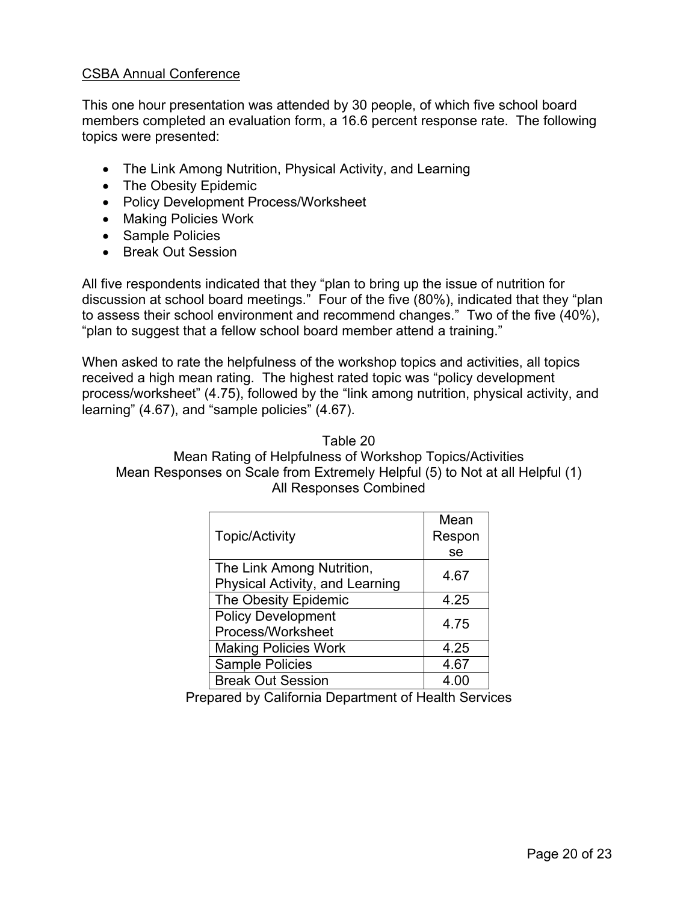## CSBA Annual Conference

This one hour presentation was attended by 30 people, of which five school board members completed an evaluation form, a 16.6 percent response rate. The following topics were presented:

- The Link Among Nutrition, Physical Activity, and Learning
- The Obesity Epidemic
- Policy Development Process/Worksheet
- Making Policies Work
- Sample Policies
- Break Out Session

All five respondents indicated that they "plan to bring up the issue of nutrition for discussion at school board meetings." Four of the five (80%), indicated that they "plan to assess their school environment and recommend changes." Two of the five (40%), "plan to suggest that a fellow school board member attend a training."

When asked to rate the helpfulness of the workshop topics and activities, all topics received a high mean rating. The highest rated topic was "policy development process/worksheet" (4.75), followed by the "link among nutrition, physical activity, and learning" (4.67), and "sample policies" (4.67).

#### Table 20

Mean Rating of Helpfulness of Workshop Topics/Activities Mean Responses on Scale from Extremely Helpful (5) to Not at all Helpful (1) All Responses Combined

|                                 | Mean   |
|---------------------------------|--------|
| <b>Topic/Activity</b>           | Respon |
|                                 | se     |
| The Link Among Nutrition,       | 4.67   |
| Physical Activity, and Learning |        |
| The Obesity Epidemic            | 4.25   |
| <b>Policy Development</b>       | 4.75   |
| Process/Worksheet               |        |
| <b>Making Policies Work</b>     | 4.25   |
| Sample Policies                 | 4.67   |
| <b>Break Out Session</b>        | 4 በበ   |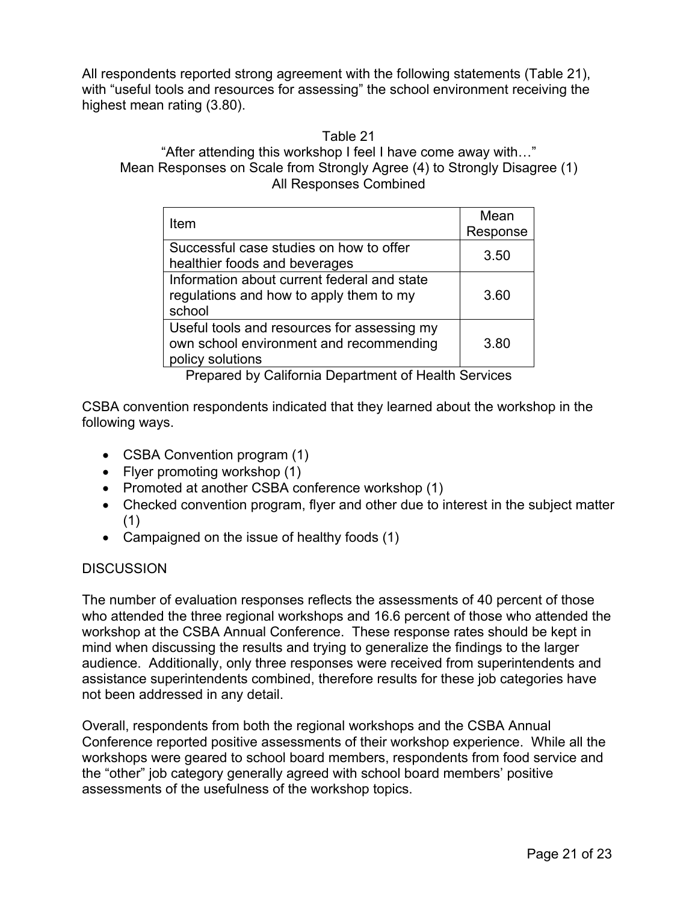All respondents reported strong agreement with the following statements (Table 21), with "useful tools and resources for assessing" the school environment receiving the highest mean rating (3.80).

#### Table 21

## "After attending this workshop I feel I have come away with…" Mean Responses on Scale from Strongly Agree (4) to Strongly Disagree (1) All Responses Combined

| Item                                                                                                       | Mean<br>Response |
|------------------------------------------------------------------------------------------------------------|------------------|
| Successful case studies on how to offer<br>healthier foods and beverages                                   | 3.50             |
| Information about current federal and state<br>regulations and how to apply them to my<br>school           | 3.60             |
| Useful tools and resources for assessing my<br>own school environment and recommending<br>policy solutions | 3.80             |

Prepared by California Department of Health Services

CSBA convention respondents indicated that they learned about the workshop in the following ways.

- CSBA Convention program (1)
- Flyer promoting workshop (1)
- Promoted at another CSBA conference workshop (1)
- Checked convention program, flyer and other due to interest in the subject matter (1)
- Campaigned on the issue of healthy foods (1)

# DISCUSSION

The number of evaluation responses reflects the assessments of 40 percent of those who attended the three regional workshops and 16.6 percent of those who attended the workshop at the CSBA Annual Conference. These response rates should be kept in mind when discussing the results and trying to generalize the findings to the larger audience. Additionally, only three responses were received from superintendents and assistance superintendents combined, therefore results for these job categories have not been addressed in any detail.

Overall, respondents from both the regional workshops and the CSBA Annual Conference reported positive assessments of their workshop experience. While all the workshops were geared to school board members, respondents from food service and the "other" job category generally agreed with school board members' positive assessments of the usefulness of the workshop topics.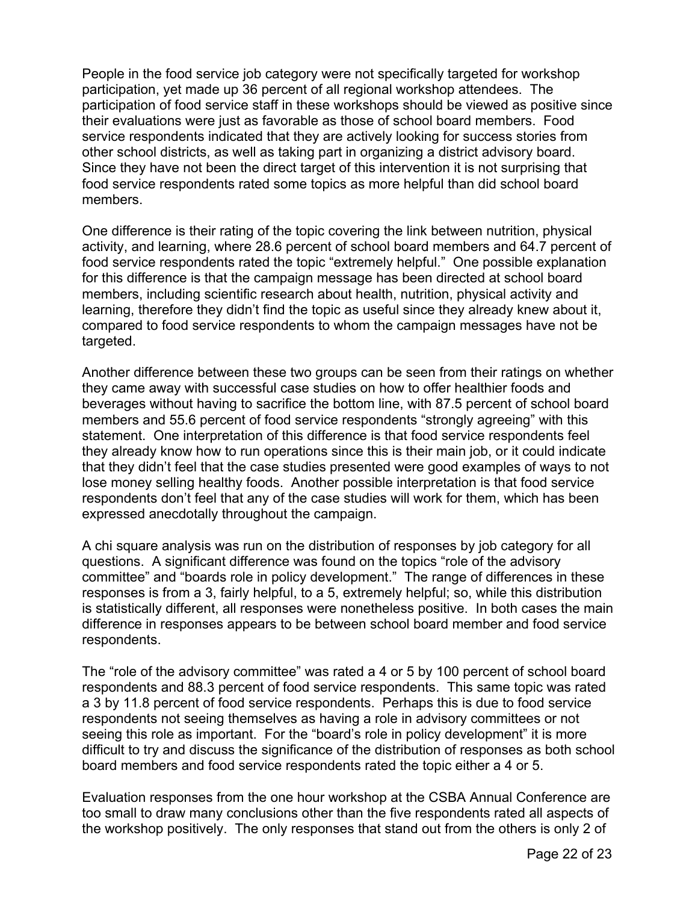People in the food service job category were not specifically targeted for workshop participation, yet made up 36 percent of all regional workshop attendees. The participation of food service staff in these workshops should be viewed as positive since their evaluations were just as favorable as those of school board members. Food service respondents indicated that they are actively looking for success stories from other school districts, as well as taking part in organizing a district advisory board. Since they have not been the direct target of this intervention it is not surprising that food service respondents rated some topics as more helpful than did school board members.

One difference is their rating of the topic covering the link between nutrition, physical activity, and learning, where 28.6 percent of school board members and 64.7 percent of food service respondents rated the topic "extremely helpful." One possible explanation for this difference is that the campaign message has been directed at school board members, including scientific research about health, nutrition, physical activity and learning, therefore they didn't find the topic as useful since they already knew about it, compared to food service respondents to whom the campaign messages have not be targeted.

Another difference between these two groups can be seen from their ratings on whether they came away with successful case studies on how to offer healthier foods and beverages without having to sacrifice the bottom line, with 87.5 percent of school board members and 55.6 percent of food service respondents "strongly agreeing" with this statement. One interpretation of this difference is that food service respondents feel they already know how to run operations since this is their main job, or it could indicate that they didn't feel that the case studies presented were good examples of ways to not lose money selling healthy foods. Another possible interpretation is that food service respondents don't feel that any of the case studies will work for them, which has been expressed anecdotally throughout the campaign.

A chi square analysis was run on the distribution of responses by job category for all questions. A significant difference was found on the topics "role of the advisory committee" and "boards role in policy development." The range of differences in these responses is from a 3, fairly helpful, to a 5, extremely helpful; so, while this distribution is statistically different, all responses were nonetheless positive. In both cases the main difference in responses appears to be between school board member and food service respondents.

The "role of the advisory committee" was rated a 4 or 5 by 100 percent of school board respondents and 88.3 percent of food service respondents. This same topic was rated a 3 by 11.8 percent of food service respondents. Perhaps this is due to food service respondents not seeing themselves as having a role in advisory committees or not seeing this role as important. For the "board's role in policy development" it is more difficult to try and discuss the significance of the distribution of responses as both school board members and food service respondents rated the topic either a 4 or 5.

Evaluation responses from the one hour workshop at the CSBA Annual Conference are too small to draw many conclusions other than the five respondents rated all aspects of the workshop positively. The only responses that stand out from the others is only 2 of